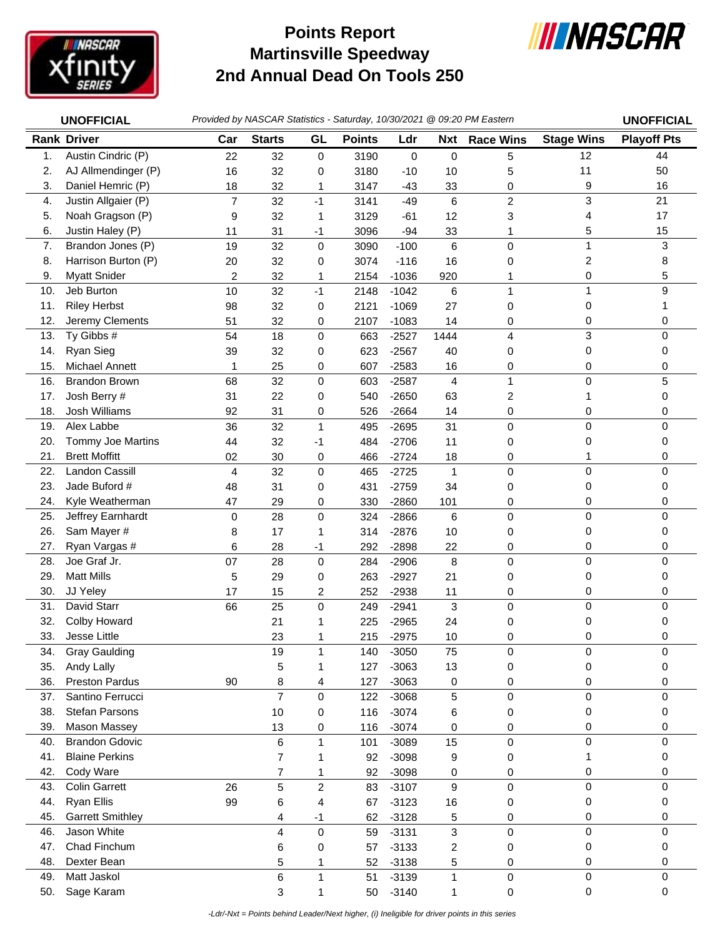

## **Martinsville Speedway 2nd Annual Dead On Tools 250 Points Report**



|     | <b>UNOFFICIAL</b>       |                |                 |                |               |             |                 | Provided by NASCAR Statistics - Saturday, 10/30/2021 @ 09:20 PM Eastern |                   | <b>UNOFFICIAL</b>  |
|-----|-------------------------|----------------|-----------------|----------------|---------------|-------------|-----------------|-------------------------------------------------------------------------|-------------------|--------------------|
|     | <b>Rank Driver</b>      | Car            | <b>Starts</b>   | GL             | <b>Points</b> | Ldr         |                 | Nxt Race Wins                                                           | <b>Stage Wins</b> | <b>Playoff Pts</b> |
| 1.  | Austin Cindric (P)      | 22             | 32              | 0              | 3190          | $\mathbf 0$ | 0               | 5                                                                       | 12                | 44                 |
| 2.  | AJ Allmendinger (P)     | 16             | 32              | 0              | 3180          | $-10$       | 10              | 5                                                                       | 11                | 50                 |
| 3.  | Daniel Hemric (P)       | 18             | 32              | 1              | 3147          | $-43$       | 33              | 0                                                                       | 9                 | 16                 |
| 4.  | Justin Allgaier (P)     | $\overline{7}$ | 32              | $-1$           | 3141          | $-49$       | 6               | $\overline{c}$                                                          | 3                 | 21                 |
| 5.  | Noah Gragson (P)        | 9              | 32              | 1              | 3129          | $-61$       | 12              | 3                                                                       | 4                 | 17                 |
| 6.  | Justin Haley (P)        | 11             | 31              | -1             | 3096          | $-94$       | 33              | 1                                                                       | 5                 | 15                 |
| 7.  | Brandon Jones (P)       | 19             | 32              | 0              | 3090          | $-100$      | $6\phantom{1}6$ | 0                                                                       | $\mathbf 1$       | 3                  |
| 8.  | Harrison Burton (P)     | 20             | 32              | 0              | 3074          | $-116$      | 16              | 0                                                                       | 2                 | 8                  |
| 9.  | <b>Myatt Snider</b>     | 2              | 32              | 1              | 2154          | $-1036$     | 920             | 1                                                                       | 0                 | 5                  |
| 10. | Jeb Burton              | 10             | 32              | $-1$           | 2148          | $-1042$     | 6               | 1                                                                       | 1                 | 9                  |
| 11. | <b>Riley Herbst</b>     | 98             | 32              | 0              | 2121          | $-1069$     | 27              | 0                                                                       | 0                 | 1                  |
| 12. | Jeremy Clements         | 51             | 32              | 0              | 2107          | $-1083$     | 14              | 0                                                                       | 0                 | 0                  |
| 13. | Ty Gibbs #              | 54             | 18              | $\mathbf 0$    | 663           | $-2527$     | 1444            | 4                                                                       | 3                 | 0                  |
| 14. | <b>Ryan Sieg</b>        | 39             | 32              | 0              | 623           | $-2567$     | 40              | 0                                                                       | 0                 | 0                  |
| 15. | <b>Michael Annett</b>   | 1              | 25              | 0              | 607           | $-2583$     | 16              | 0                                                                       | 0                 | 0                  |
| 16. | <b>Brandon Brown</b>    | 68             | 32              | 0              | 603           | $-2587$     | $\overline{4}$  | 1                                                                       | 0                 | 5                  |
| 17. | Josh Berry #            | 31             | 22              | 0              | 540           | $-2650$     | 63              | 2                                                                       | 1                 | 0                  |
| 18. | Josh Williams           | 92             | 31              | 0              | 526           | $-2664$     | 14              | 0                                                                       | 0                 | 0                  |
| 19. | Alex Labbe              | 36             | 32              | $\mathbf{1}$   | 495           | $-2695$     | 31              | $\pmb{0}$                                                               | 0                 | 0                  |
| 20. | Tommy Joe Martins       | 44             | 32              | -1             | 484           | $-2706$     | 11              | 0                                                                       | 0                 | 0                  |
| 21. | <b>Brett Moffitt</b>    | 02             | 30              | 0              | 466           | $-2724$     | 18              | 0                                                                       | 1                 | 0                  |
| 22. | Landon Cassill          | 4              | 32              | $\mathbf 0$    | 465           | $-2725$     | $\mathbf{1}$    | $\pmb{0}$                                                               | $\mathbf 0$       | 0                  |
| 23. | Jade Buford #           | 48             | 31              | 0              | 431           | $-2759$     | 34              | 0                                                                       | 0                 | 0                  |
| 24. | Kyle Weatherman         | 47             | 29              | 0              | 330           | $-2860$     | 101             | 0                                                                       | 0                 | 0                  |
| 25. | Jeffrey Earnhardt       | 0              | 28              | $\mathbf 0$    | 324           | $-2866$     | 6               | $\mathbf 0$                                                             | 0                 | 0                  |
| 26. | Sam Mayer #             | 8              | 17              | 1              | 314           | $-2876$     | 10              | 0                                                                       | 0                 | 0                  |
| 27. | Ryan Vargas #           | 6              | 28              | $-1$           | 292           | $-2898$     | 22              | 0                                                                       | 0                 | 0                  |
| 28. | Joe Graf Jr.            | 07             | 28              | 0              | 284           | $-2906$     | 8               | 0                                                                       | 0                 | 0                  |
| 29. | <b>Matt Mills</b>       | 5              | 29              | 0              | 263           | $-2927$     | 21              | 0                                                                       | 0                 | 0                  |
| 30. | JJ Yeley                | 17             | 15              | 2              | 252           | $-2938$     | 11              | 0                                                                       | 0                 | 0                  |
| 31. | David Starr             | 66             | 25              | 0              | 249           | $-2941$     | 3               | $\pmb{0}$                                                               | $\mathbf 0$       | 0                  |
| 32. | Colby Howard            |                | 21              |                | 225           | $-2965$     | 24              | 0                                                                       | 0                 | 0                  |
| 33. | Jesse Little            |                | 23              | 1              | 215           | $-2975$     | 10              | 0                                                                       | 0                 | 0                  |
| 34. | <b>Gray Gaulding</b>    |                | 19              | 1              | 140           | $-3050$     | 75              | $\pmb{0}$                                                               | 0                 | 0                  |
| 35. | Andy Lally              |                | 5               | 1              | 127           | $-3063$     | 13              | 0                                                                       | 0                 | 0                  |
| 36. | <b>Preston Pardus</b>   | 90             | 8               | 4              | 127           | $-3063$     | 0               | 0                                                                       | 0                 | 0                  |
| 37. | Santino Ferrucci        |                | $\overline{7}$  | $\mathbf 0$    | 122           | $-3068$     | 5               | $\pmb{0}$                                                               | 0                 | 0                  |
| 38. | <b>Stefan Parsons</b>   |                | 10              | 0              | 116           | $-3074$     | 6               | 0                                                                       | 0                 | 0                  |
| 39. | Mason Massey            |                | 13              | 0              | 116           | $-3074$     | 0               | 0                                                                       | 0                 | 0                  |
| 40. | <b>Brandon Gdovic</b>   |                | 6               | $\mathbf{1}$   | 101           | $-3089$     | 15              | 0                                                                       | 0                 | 0                  |
| 41. | <b>Blaine Perkins</b>   |                | $\overline{7}$  | 1              | 92            | $-3098$     | 9               | 0                                                                       | 1                 | 0                  |
| 42. | Cody Ware               |                | $\overline{7}$  | 1              | 92            | $-3098$     | 0               | 0                                                                       | 0                 | 0                  |
| 43. | <b>Colin Garrett</b>    | 26             | 5               | $\overline{c}$ | 83            | $-3107$     | 9               | $\pmb{0}$                                                               | 0                 | 0                  |
| 44. | <b>Ryan Ellis</b>       | 99             | 6               | 4              | 67            | $-3123$     | 16              | 0                                                                       | 0                 | 0                  |
| 45. | <b>Garrett Smithley</b> |                | 4               | $-1$           | 62            | $-3128$     | 5               | 0                                                                       | 0                 | 0                  |
| 46. | Jason White             |                | 4               | 0              | 59            | $-3131$     | 3               | $\pmb{0}$                                                               | $\mathsf 0$       | 0                  |
| 47. | Chad Finchum            |                | 6               | 0              | 57            | $-3133$     | 2               | 0                                                                       | 0                 | 0                  |
| 48. | Dexter Bean             |                | 5               | 1              | 52            | $-3138$     | 5               | 0                                                                       | 0                 | 0                  |
| 49. | Matt Jaskol             |                | $6\phantom{1}6$ | $\mathbf{1}$   | 51            | $-3139$     | $\mathbf{1}$    | $\pmb{0}$                                                               | 0                 | 0                  |
| 50. | Sage Karam              |                | 3               | 1              | 50            | $-3140$     | 1               | 0                                                                       | $\pmb{0}$         | 0                  |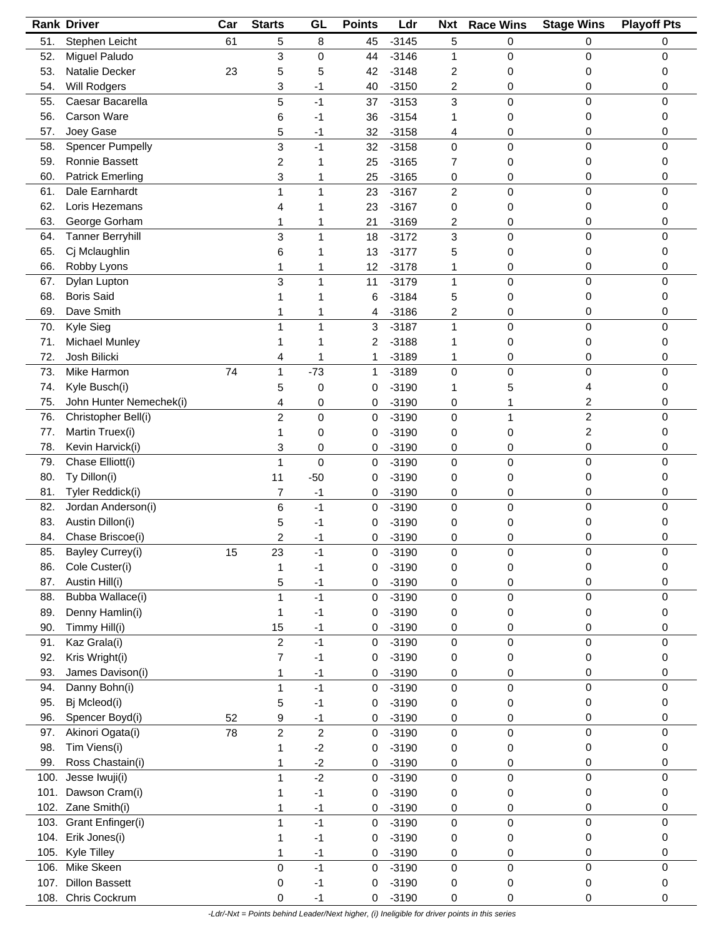|      | <b>Rank Driver</b>      | Car | <b>Starts</b>           | GL                      | <b>Points</b> | Ldr     | <b>Nxt</b>     | <b>Race Wins</b> | <b>Stage Wins</b>       | <b>Playoff Pts</b> |
|------|-------------------------|-----|-------------------------|-------------------------|---------------|---------|----------------|------------------|-------------------------|--------------------|
| 51.  | Stephen Leicht          | 61  | 5                       | 8                       | 45            | $-3145$ | 5              | 0                | 0                       | 0                  |
| 52.  | Miguel Paludo           |     | 3                       | 0                       | 44            | $-3146$ | 1              | 0                | 0                       | 0                  |
| 53.  | Natalie Decker          | 23  | 5                       | 5                       | 42            | $-3148$ | 2              | 0                | 0                       | 0                  |
| 54.  | <b>Will Rodgers</b>     |     | 3                       | -1                      | 40            | $-3150$ | 2              | 0                | 0                       | 0                  |
| 55.  | Caesar Bacarella        |     | 5                       | $-1$                    | 37            | $-3153$ | 3              | 0                | 0                       | 0                  |
| 56.  | Carson Ware             |     |                         | -1                      | 36            | $-3154$ | 1              | 0                | 0                       | 0                  |
|      |                         |     | 6                       |                         |               |         |                |                  |                         |                    |
| 57.  | Joey Gase               |     | 5                       | -1                      | 32            | $-3158$ | 4              | 0                | 0                       | 0                  |
| 58.  | <b>Spencer Pumpelly</b> |     | 3                       | $-1$                    | 32            | $-3158$ | 0              | 0                | 0                       | 0                  |
| 59.  | Ronnie Bassett          |     | 2                       |                         | 25            | $-3165$ | 7              | 0                | 0                       | 0                  |
| 60.  | <b>Patrick Emerling</b> |     | 3                       | 1                       | 25            | $-3165$ | 0              | 0                | 0                       | 0                  |
| 61.  | Dale Earnhardt          |     | 1                       | $\mathbf{1}$            | 23            | $-3167$ | $\overline{c}$ | 0                | 0                       | 0                  |
| 62.  | Loris Hezemans          |     | 4                       | 1                       | 23            | $-3167$ | 0              | 0                | 0                       | 0                  |
| 63.  | George Gorham           |     | 1                       | 1                       | 21            | $-3169$ | 2              | 0                | 0                       | 0                  |
| 64.  | <b>Tanner Berryhill</b> |     | 3                       | 1                       | 18            | $-3172$ | 3              | 0                | 0                       | 0                  |
| 65.  | Cj Mclaughlin           |     | 6                       | 1                       | 13            | $-3177$ | 5              | 0                | 0                       | 0                  |
| 66.  | Robby Lyons             |     | 1                       | 1                       | 12            | $-3178$ | 1              | 0                | 0                       | 0                  |
| 67.  | Dylan Lupton            |     | 3                       | 1                       | 11            | $-3179$ | $\mathbf{1}$   | 0                | 0                       | 0                  |
| 68.  | <b>Boris Said</b>       |     |                         |                         |               | $-3184$ |                |                  | 0                       |                    |
|      |                         |     |                         |                         | 6             |         | 5              | 0                |                         | 0                  |
| 69.  | Dave Smith              |     | 1                       |                         | 4             | $-3186$ | 2              | 0                | 0                       | 0                  |
| 70.  | Kyle Sieg               |     | 1                       | 1                       | 3             | $-3187$ | $\mathbf{1}$   | 0                | 0                       | 0                  |
| 71.  | Michael Munley          |     | 1                       |                         | 2             | $-3188$ | 1              | 0                | 0                       | 0                  |
| 72.  | Josh Bilicki            |     | 4                       | 1                       | 1             | $-3189$ | 1              | 0                | 0                       | 0                  |
| 73.  | Mike Harmon             | 74  | 1                       | $-73$                   | 1             | $-3189$ | 0              | 0                | 0                       | 0                  |
| 74.  | Kyle Busch(i)           |     | 5                       | 0                       | 0             | $-3190$ | 1              | 5                | 4                       | 0                  |
| 75.  | John Hunter Nemechek(i) |     | 4                       | 0                       | 0             | $-3190$ | 0              | 1                | 2                       | 0                  |
| 76.  | Christopher Bell(i)     |     | $\overline{c}$          | 0                       | 0             | $-3190$ | 0              | 1                | $\overline{\mathbf{c}}$ | 0                  |
| 77.  | Martin Truex(i)         |     | 1                       | 0                       | 0             | $-3190$ | 0              | 0                | 2                       | 0                  |
| 78.  | Kevin Harvick(i)        |     | 3                       | 0                       | 0             | $-3190$ | 0              | 0                | 0                       | 0                  |
| 79.  | Chase Elliott(i)        |     |                         | 0                       |               |         |                | 0                | 0                       | 0                  |
|      |                         |     | 1                       |                         | 0             | $-3190$ | 0              |                  |                         |                    |
| 80.  | Ty Dillon(i)            |     | 11                      | $-50$                   | 0             | $-3190$ | 0              | 0                | 0                       | 0                  |
| 81.  | Tyler Reddick(i)        |     | 7                       | $-1$                    | 0             | $-3190$ | 0              | 0                | 0                       | 0                  |
| 82.  | Jordan Anderson(i)      |     | 6                       | $-1$                    | 0             | $-3190$ | 0              | 0                | 0                       | 0                  |
| 83.  | Austin Dillon(i)        |     | 5                       | -1                      | 0             | $-3190$ | 0              | 0                | 0                       | 0                  |
| 84.  | Chase Briscoe(i)        |     | 2                       | -1                      | 0             | $-3190$ | 0              | 0                | 0                       | 0                  |
| 85.  | Bayley Currey(i)        | 15  | 23                      | $-1$                    | 0             | $-3190$ | 0              | 0                | 0                       |                    |
| 86.  | Cole Custer(i)          |     | 1                       | -1                      | 0             | $-3190$ | 0              | 0                | 0                       | 0                  |
| 87.  | Austin Hill(i)          |     | 5                       | $-1$                    | 0             | $-3190$ | 0              | 0                | 0                       | 0                  |
| 88.  | Bubba Wallace(i)        |     | 1                       | $-1$                    | 0             | $-3190$ | 0              | 0                | 0                       | 0                  |
| 89.  | Denny Hamlin(i)         |     | 1                       | $-1$                    | 0             | $-3190$ | 0              | 0                | 0                       | 0                  |
| 90.  | Timmy Hill(i)           |     | 15                      | $-1$                    | 0             | $-3190$ | 0              | 0                | 0                       | 0                  |
| 91.  | Kaz Grala(i)            |     | $\overline{c}$          | $-1$                    |               | $-3190$ | $\mathsf 0$    |                  | 0                       | 0                  |
|      |                         |     |                         |                         | 0             |         |                | 0                |                         |                    |
| 92.  | Kris Wright(i)          |     | 7                       | $-1$                    | 0             | $-3190$ | 0              | 0                | 0                       | 0                  |
| 93.  | James Davison(i)        |     | 1                       | $-1$                    | 0             | $-3190$ | 0              | 0                | 0                       | 0                  |
| 94.  | Danny Bohn(i)           |     | 1                       | $-1$                    | 0             | $-3190$ | 0              | 0                | 0                       | 0                  |
| 95.  | Bj Mcleod(i)            |     | 5                       | $-1$                    | 0             | $-3190$ | 0              | 0                | 0                       | 0                  |
| 96.  | Spencer Boyd(i)         | 52  | 9                       | $-1$                    | 0             | $-3190$ | 0              | 0                | 0                       | 0                  |
| 97.  | Akinori Ogata(i)        | 78  | $\overline{\mathbf{c}}$ | $\overline{\mathbf{c}}$ | 0             | $-3190$ | 0              | 0                | 0                       | 0                  |
| 98.  | Tim Viens(i)            |     | 1                       | $-2$                    | 0             | $-3190$ | 0              | 0                | 0                       | 0                  |
| 99.  | Ross Chastain(i)        |     | 1                       | $-2$                    | 0             | $-3190$ | 0              | 0                | 0                       | 0                  |
| 100. | Jesse Iwuji(i)          |     | 1                       | $-2$                    | 0             | $-3190$ | 0              | 0                | 0                       | 0                  |
| 101. | Dawson Cram(i)          |     | 1                       | $-1$                    | 0             | $-3190$ | 0              | 0                | 0                       | 0                  |
|      | 102. Zane Smith(i)      |     |                         |                         |               | $-3190$ |                |                  | 0                       | 0                  |
|      |                         |     | 1                       | $-1$                    | 0             |         | 0              | 0                |                         |                    |
| 103. | Grant Enfinger(i)       |     | 1                       | $-1$                    | 0             | $-3190$ | $\mathbf 0$    | 0                | 0                       | 0                  |
| 104. | Erik Jones(i)           |     | 1                       | $-1$                    | 0             | $-3190$ | 0              | 0                | 0                       | 0                  |
| 105. | Kyle Tilley             |     | 1                       | $-1$                    | 0             | $-3190$ | 0              | 0                | 0                       | 0                  |
| 106. | Mike Skeen              |     | 0                       | $-1$                    | 0             | $-3190$ | $\pmb{0}$      | 0                | 0                       | 0                  |
| 107. | <b>Dillon Bassett</b>   |     | 0                       | $-1$                    | 0             | $-3190$ | 0              | 0                | 0                       | 0                  |
|      | 108. Chris Cockrum      |     | 0                       | $-1$                    | 0             | $-3190$ | 0              | 0                | 0                       | 0                  |